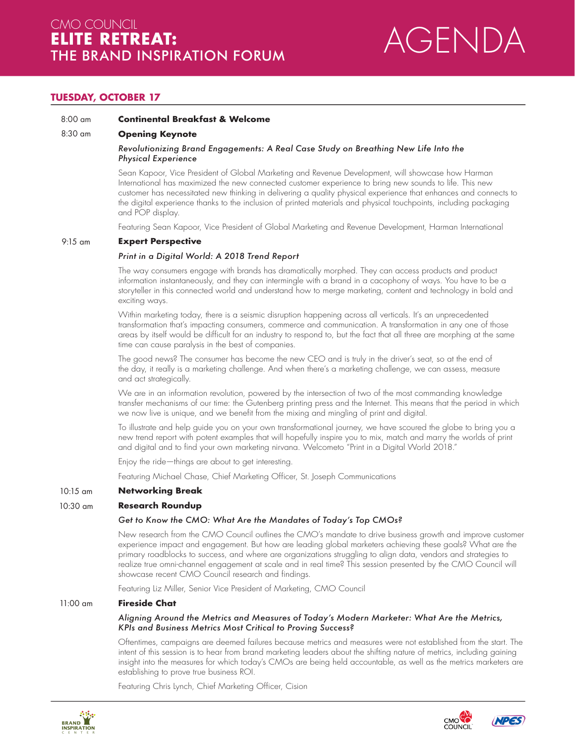

# **TUESDAY, OCTOBER 17**

#### 8:00 am **Continental Breakfast & Welcome**

#### 8:30 am **Opening Keynote**

# *Revolutionizing Brand Engagements: A Real Case Study on Breathing New Life Into the Physical Experience*

Sean Kapoor, Vice President of Global Marketing and Revenue Development, will showcase how Harman International has maximized the new connected customer experience to bring new sounds to life. This new customer has necessitated new thinking in delivering a quality physical experience that enhances and connects to the digital experience thanks to the inclusion of printed materials and physical touchpoints, including packaging and POP display.

Featuring Sean Kapoor, Vice President of Global Marketing and Revenue Development, Harman International

#### 9:15 am **Expert Perspective**

# *Print in a Digital World: A 2018 Trend Report*

The way consumers engage with brands has dramatically morphed. They can access products and product information instantaneously, and they can intermingle with a brand in a cacophony of ways. You have to be a storyteller in this connected world and understand how to merge marketing, content and technology in bold and exciting ways.

Within marketing today, there is a seismic disruption happening across all verticals. It's an unprecedented transformation that's impacting consumers, commerce and communication. A transformation in any one of those areas by itself would be diffcult for an industry to respond to, but the fact that all three are morphing at the same time can cause paralysis in the best of companies.

The good news? The consumer has become the new CEO and is truly in the driver's seat, so at the end of the day, it really is a marketing challenge. And when there's a marketing challenge, we can assess, measure and act strategically.

We are in an information revolution, powered by the intersection of two of the most commanding knowledge transfer mechanisms of our time: the Gutenberg printing press and the Internet. This means that the period in which we now live is unique, and we benefit from the mixing and mingling of print and digital.

To illustrate and help guide you on your own transformational journey, we have scoured the globe to bring you a new trend report with potent examples that will hopefully inspire you to mix, match and marry the worlds of print and digital and to find your own marketing nirvana. Welcometo "Print in a Digital World 2018."

Enjoy the ride—things are about to get interesting.

Featuring Michael Chase, Chief Marketing Officer, St. Joseph Communications

#### **Networking Break** 10:15 am

#### **Research Roundup** 10:30 am

# *Get to Know the CMO: What Are the Mandates of Today's Top CMOs?*

New research from the CMO Council outlines the CMO's mandate to drive business growth and improve customer experience impact and engagement. But how are leading global marketers achieving these goals? What are the primary roadblocks to success, and where are organizations struggling to align data, vendors and strategies to realize true omni-channel engagement at scale and in real time? This session presented by the CMO Council will showcase recent CMO Council research and findings.

Featuring Liz Miller, Senior Vice President of Marketing, CMO Council

#### **Fireside Chat** 11:00 am

# *Aligning Around the Metrics and Measures of Today's Modern Marketer: What Are the Metrics, KPIs and Business Metrics Most Critical to Proving Success?*

Oftentimes, campaigns are deemed failures because metrics and measures were not established from the start. The intent of this session is to hear from brand marketing leaders about the shifting nature of metrics, including gaining insight into the measures for which today's CMOs are being held accountable, as well as the metrics marketers are establishing to prove true business ROI.

Featuring Chris Lynch, Chief Marketing Officer, Cision